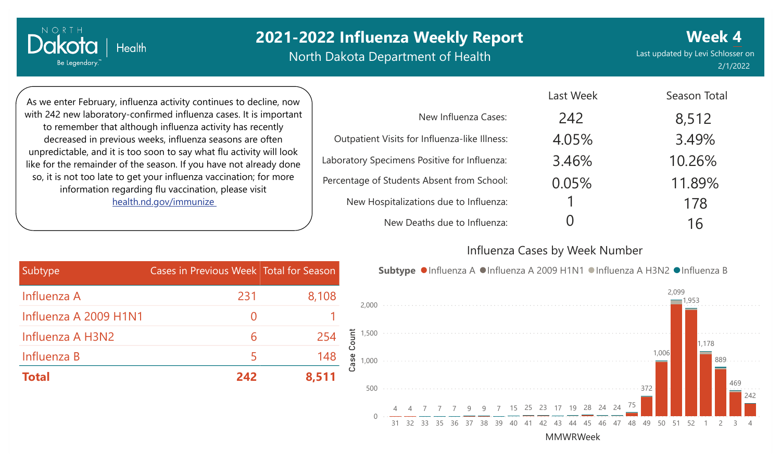North Dakota Department of Health

Last updated by Levi Schlosser on 2/1/2022 **Week 4**

As we enter February, influenza activity continues to decline, now with 242 new laboratory-confirmed influenza cases. It is important to remember that although influenza activity has recently decreased in previous weeks, influenza seasons are often unpredictable, and it is too soon to say what flu activity will look like for the remainder of the season. If you have not already done so, it is not too late to get your influenza vaccination; for more information regarding flu vaccination, please visit [health.nd.gov/immunize](http://health.nd.gov/immunize)

**Health** 

Dakota

Be Legendary.

|                                               | Last Week | Season Total |
|-----------------------------------------------|-----------|--------------|
| New Influenza Cases:                          | 242       | 8,512        |
| Outpatient Visits for Influenza-like Illness: | 4.05%     | 3.49%        |
| Laboratory Specimens Positive for Influenza:  | 3.46%     | 10.26%       |
| Percentage of Students Absent from School:    | 0.05%     | 11.89%       |
| New Hospitalizations due to Influenza:        |           | 178          |
| New Deaths due to Influenza:                  |           | 16           |

#### Influenza Cases by Week Number

Subtype ●Influenza A ●Influenza A 2009 H1N1 ●Influenza A H3N2 ●Influenza B

Last Week

| Subtype               | Cases in Previous Week Total for Season |       |
|-----------------------|-----------------------------------------|-------|
| Influenza A           | 231                                     | 8,108 |
| Influenza A 2009 H1N1 | $\left( \right)$                        |       |
| Influenza A H3N2      | 6                                       | 254   |
| Influenza B           |                                         | 148   |
| <b>Total</b>          | 242                                     | 8,511 |

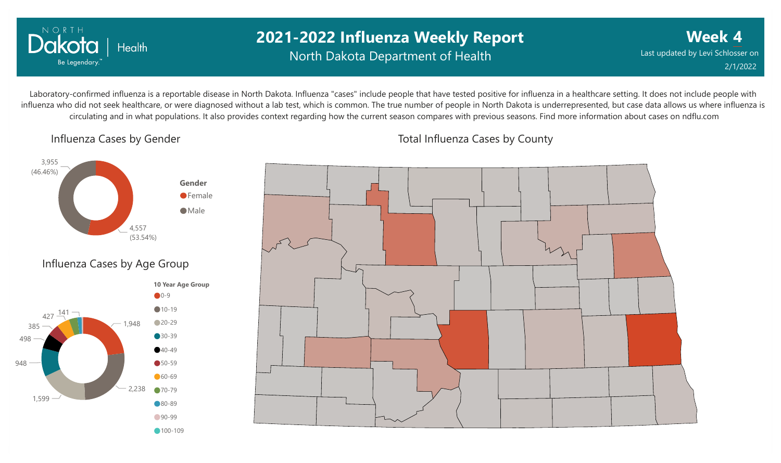

### **2021-2022 Influenza Weekly Report** North Dakota Department of Health

**Week 4** Last updated by Levi Schlosser on 2/1/2022

Laboratory-confirmed influenza is a reportable disease in North Dakota. Influenza "cases" include people that have tested positive for influenza in a healthcare setting. It does not include people with influenza who did not seek healthcare, or were diagnosed without a lab test, which is common. The true number of people in North Dakota is underrepresented, but case data allows us where influenza is circulating and in what populations. It also provides context regarding how the current season compares with previous seasons. Find more information about cases on ndflu.com

Influenza Cases by Gender





Total Influenza Cases by County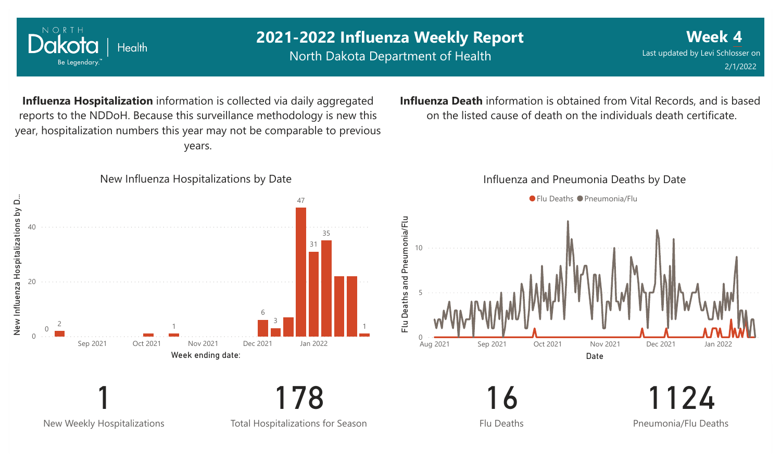

New Weekly Hospitalizations

Total Hospitalizations for Season

Flu Deaths

Pneumonia/Flu Deaths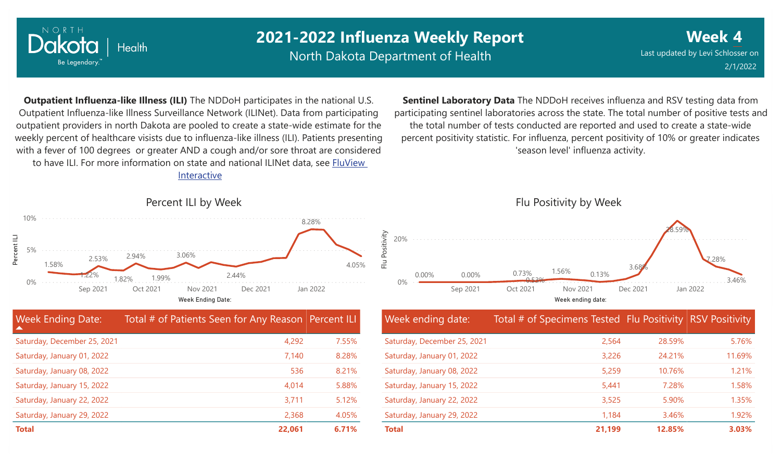

North Dakota Department of Health

**Week 4** Last updated by Levi Schlosser on 2/1/2022

**Outpatient Influenza-like Illness (ILI)** The NDDoH participates in the national U.S. Outpatient Influenza-like Illness Surveillance Network (ILINet). Data from participating outpatient providers in north Dakota are pooled to create a state-wide estimate for the weekly percent of healthcare visists due to influenza-like illness (ILI). Patients presenting with a fever of 100 degrees or greater AND a cough and/or sore throat are considered to have ILI. For more information [on state and national ILINet data, see FluView](http://fluview%20interactive/)

Interactive



| <b>Week Ending Date:</b><br><b>A</b> | Total # of Patients Seen for Any Reason Percent ILI |       |
|--------------------------------------|-----------------------------------------------------|-------|
| Saturday, December 25, 2021          | 4,292                                               | 7.55% |
| Saturday, January 01, 2022           | 7,140                                               | 8.28% |
| Saturday, January 08, 2022           | 536                                                 | 8.21% |
| Saturday, January 15, 2022           | 4,014                                               | 5.88% |
| Saturday, January 22, 2022           | 3,711                                               | 5.12% |
| Saturday, January 29, 2022           | 2,368                                               | 4.05% |
| <b>Total</b>                         | 22,061                                              | 6.71% |

**Sentinel Laboratory Data** The NDDoH receives influenza and RSV testing data from participating sentinel laboratories across the state. The total number of positive tests and the total number of tests conducted are reported and used to create a state-wide percent positivity statistic. For influenza, percent positivity of 10% or greater indicates 'season level' influenza activity.



| Week ending date:           | Total # of Specimens Tested Flu Positivity RSV Positivity |        |        |
|-----------------------------|-----------------------------------------------------------|--------|--------|
| Saturday, December 25, 2021 | 2,564                                                     | 28.59% | 5.76%  |
| Saturday, January 01, 2022  | 3,226                                                     | 24.21% | 11.69% |
| Saturday, January 08, 2022  | 5,259                                                     | 10.76% | 1.21%  |
| Saturday, January 15, 2022  | 5,441                                                     | 7.28%  | 1.58%  |
| Saturday, January 22, 2022  | 3,525                                                     | 5.90%  | 1.35%  |
| Saturday, January 29, 2022  | 1,184                                                     | 3.46%  | 1.92%  |
| <b>Total</b>                | 21,199                                                    | 12.85% | 3.03%  |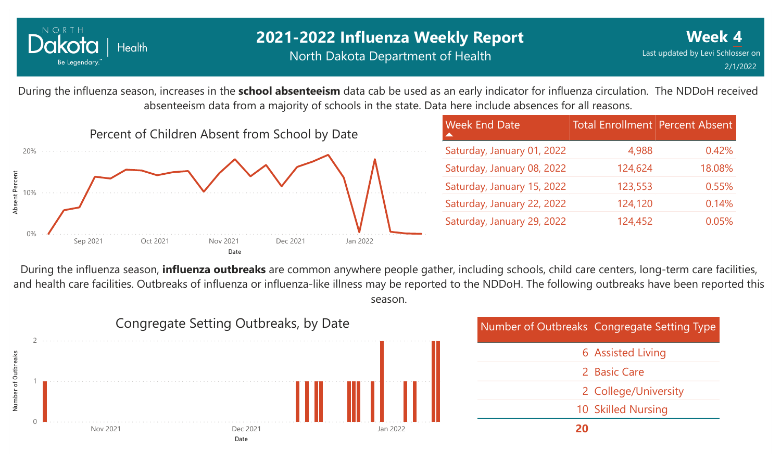

### **2021-2022 Influenza Weekly Report** North Dakota Department of Health

During the influenza season, increases in the **school absenteeism** data cab be used as an early indicator for influenza circulation. The NDDoH received absenteeism data from a majority of schools in the state. Data here include absences for all reasons.



| <b>Week End Date</b>       | <b>Total Enrollment Percent Absent</b> |        |
|----------------------------|----------------------------------------|--------|
| Saturday, January 01, 2022 | 4,988                                  | 0.42%  |
| Saturday, January 08, 2022 | 124,624                                | 18.08% |
| Saturday, January 15, 2022 | 123,553                                | 0.55%  |
| Saturday, January 22, 2022 | 124,120                                | 0.14%  |
| Saturday, January 29, 2022 | 124,452                                | 0.05%  |

During the influenza season, **influenza outbreaks** are common anywhere people gather, including schools, child care centers, long-term care facilities, and health care facilities. Outbreaks of influenza or influenza-like illness may be reported to the NDDoH. The following outbreaks have been reported this season.



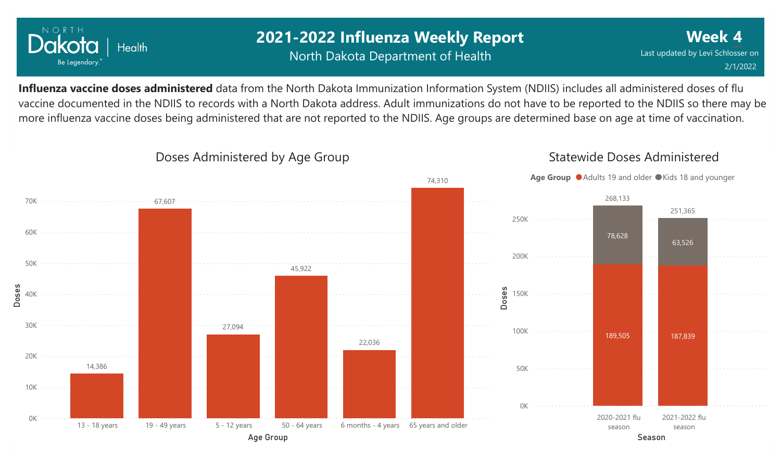

### **2021-2022 Influenza Weekly Report** North Dakota Department of Health

**Week 4** Last updated by Levi Schlosser on 2/1/2022

Statewide Doses Administered

**Influenza vaccine doses administered** data from the North Dakota Immunization Information System (NDIIS) includes all administered doses of flu vaccine documented in the NDIIS to records with a North Dakota address. Adult immunizations do not have to be reported to the NDIIS so there may be more influenza vaccine doses being administered that are not reported to the NDIIS. Age groups are determined base on age at time of vaccination.



### Doses Administered by Age Group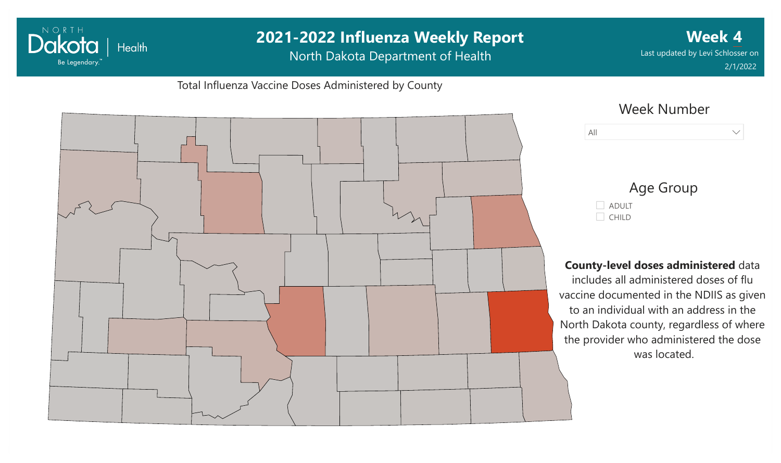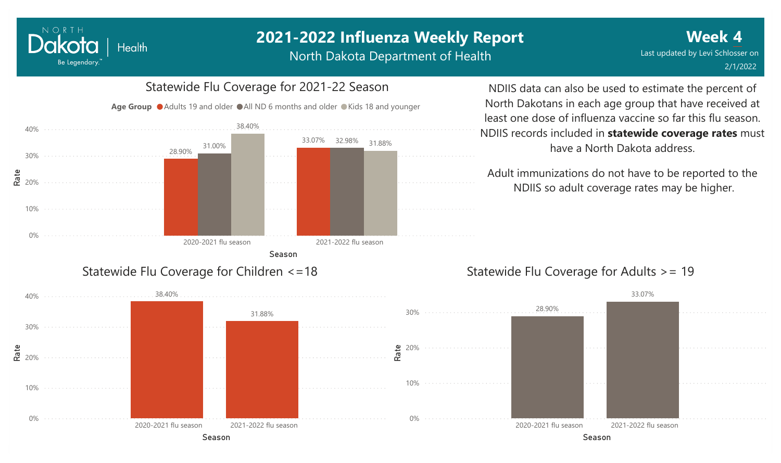North Dakota Department of Health



NORTH

Dakota

Be Legendary.

**Health** 

have a North Dakota address.

NDIIS so adult coverage rates may be higher.



## 0% Season 2020-2021 flu season 2021-2022 flu season 0% Season 2020-2021 flu season 2021-2022 flu season 28.90% 33.07%